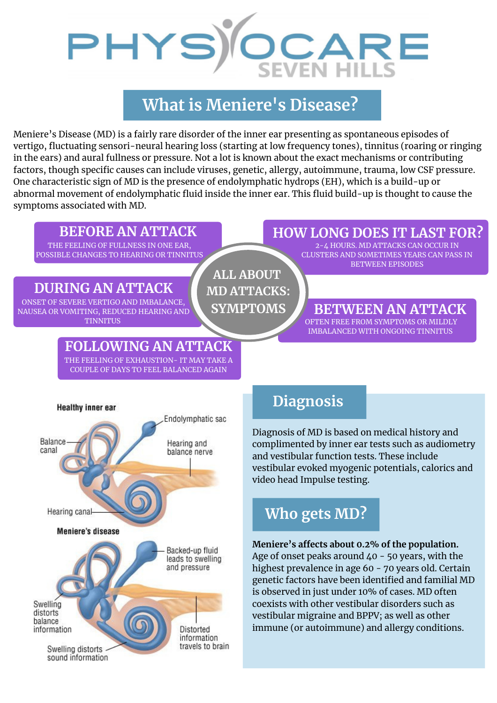

# **What is Meniere's Disease?**

Meniere's Disease (MD) is a fairly rare disorder of the inner ear presenting as spontaneous episodes of vertigo, fluctuating sensori-neural hearing loss (starting at low frequency tones), tinnitus (roaring or ringing in the ears) and aural fullness or pressure. Not a lot is known about the exact mechanisms or contributing factors, though specific causes can include viruses, genetic, allergy, autoimmune, trauma, low CSF pressure. One characteristic sign of MD is the presence of endolymphatic hydrops (EH), which is a build-up or abnormal movement of endolymphatic fluid inside the inner ear. This fluid build-up is thought to cause the symptoms associated with MD.

THE FEELING OF FULLNESS IN ONE EAR, POSSIBLE CHANGES TO HEARING OR TINNITUS

## **DURING AN ATTACK**

ONSET OF SEVERE VERTIGO AND IMBALANCE, NAUSEA OR VOMITING, REDUCED HEARING AND

# **FOLLOWING AN ATTACK**

THE FEELING OF EXHAUSTION- IT MAY TAKE A COUPLE OF DAYS TO FEEL BALANCED AGAIN



## **BEFORE AN ATTACK HOW LONG DOES IT LAST FOR?**

2-4 HOURS. MD ATTACKS CAN OCCUR IN CLUSTERS AND SOMETIMES YEARS CAN PASS IN BETWEEN EPISODES

### **BETWEEN AN ATTACK** TINNITUS OFTEN FREE FROM SYMPTOMS OR MILDLY

IMBALANCED WITH ONGOING TINNITUS



# **Diagnosis**

Diagnosis of MD is based on medical history and complimented by inner ear tests such as audiometry and vestibular function tests. These include vestibular evoked myogenic potentials, calorics and video head Impulse testing.

# **Who gets MD?**

## **Meniere's affects about 0.2% of the population.**

Age of onset peaks around  $40 - 50$  years, with the highest prevalence in age 60 - 70 years old. Certain genetic factors have been identified and familial MD is observed in just under 10% of cases. MD often coexists with other vestibular disorders such as vestibular migraine and BPPV; as well as other immune (or autoimmune) and allergy conditions.